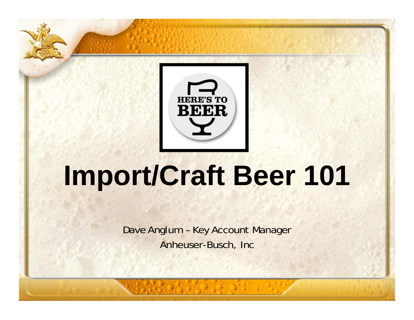

# **Import/Craft Beer 101**

Dave Anglum – Key Account Manager Anheuser-Busch, Inc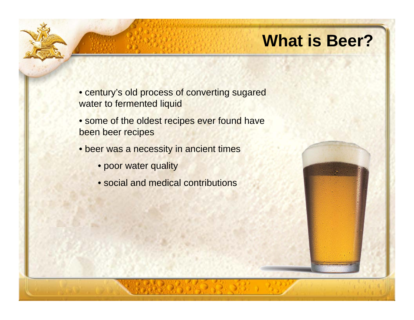### **What is Beer?**

- century's old process of converting sugared water to fermented liquid
- some of the oldest recipes ever found have been beer recipes
- beer was a necessity in ancient times
	- poor water quality
	- social and medical contributions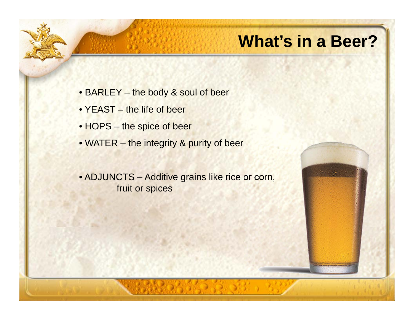### **What's in a Beer?**

- BARLEY the body & soul of beer
- YEAST the life of beer
- HOPS the spice of beer
- WATER the integrity & purity of beer
- ADJUNCTS Additive grains like rice or corn, fruit or spices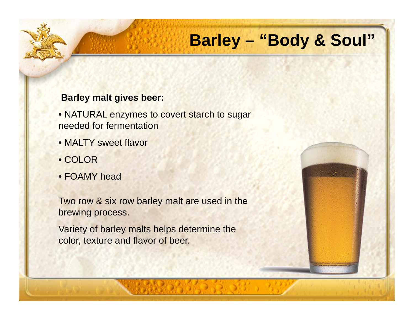# **Barley – "Body & Soul"**

#### **Barley malt gives beer:**

- NATURAL enzymes to covert starch to sugar needed for fermentation
- MALTY sweet flavor
- COLOR
- FOAMY head

Two row & six row barley malt are used in the brewing process.

Variety of barley malts helps determine the color, texture and flavor of beer.

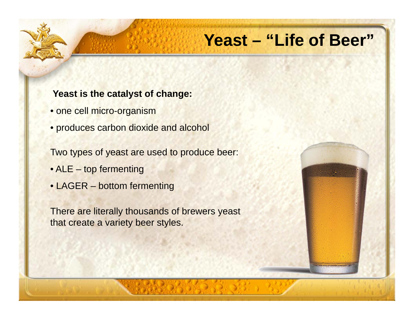### **Yeast – "Life of Beer"**

#### **Yeast is the catalyst of change:**

- one cell micro-organism
- produces carbon dioxide and alcohol

Two types of yeast are used to produce beer:

- ALE top fermenting
- LAGER bottom fermenting

There are literally thousands of brewers yeast that create a variety beer styles.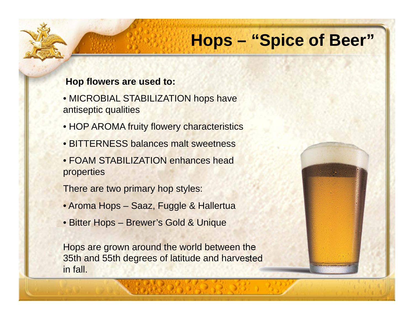# **Hops – "Spice of Beer"**

#### **Hop flowers are used to:**

- MICROBIAL STABILIZATION hops have antiseptic qualities
- HOP AROMA fruity flowery characteristics
- BITTERNESS balances malt sweetness
- FOAM STABILIZATION enhances head properties

There are two primary hop styles:

- Aroma Hops Saaz, Fuggle & Hallertua
- Bitter Hops Brewer's Gold & Unique

Hops are grown around the world between the 35th and 55th degrees of latitude and harvested in fall.

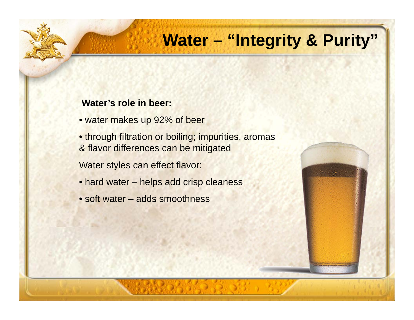# **Water – "Integrity & Purity"**

#### **Water's role in beer:**

- water makes up 92% of beer
- through filtration or boiling; impurities, aromas & flavor differences can be mitigated

Water styles can effect flavor:

- hard water helps add crisp cleaness
- soft water adds smoothness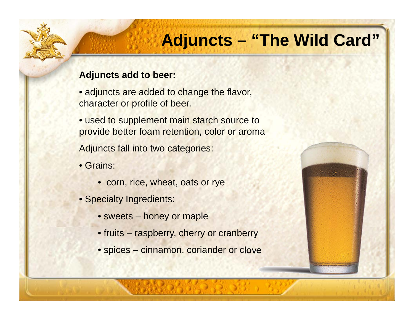# **Adjuncts – "The Wild Card"**

#### **Adjuncts add to beer:**

- adjuncts are added to change the flavor, character or profile of beer.
- used to supplement main starch source to provide better foam retention, color or aroma

Adjuncts fall into two categories:

- Grains:
	- corn, rice, wheat, oats or rye
- Specialty Ingredients:
	- sweets honey or maple
	- fruits raspberry, cherry or cranberry
	- spices cinnamon, coriander or clove

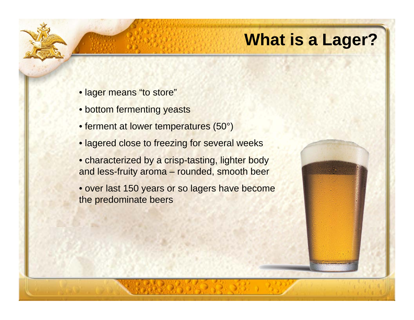# **What is a Lager?**

- lager means "to store"
- bottom fermenting yeasts
- ferment at lower temperatures (50°)
- lagered close to freezing for several weeks
- characterized by a crisp-tasting, lighter body and less-fruity aroma – rounded, smooth beer
- over last 150 years or so lagers have become the predominate beers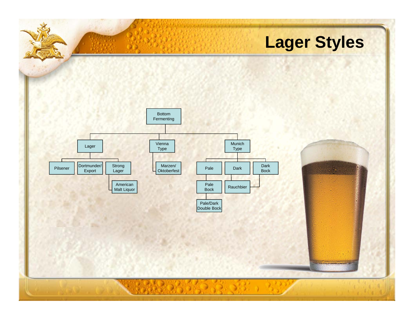# **Lager Styles**

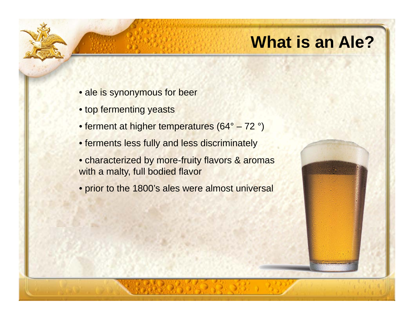## **What is an Ale?**

- ale is synonymous for beer
- top fermenting yeasts
- ferment at higher temperatures (64° 72 °)
- ferments less fully and less discriminately
- characterized by more-fruity flavors & aromas with a malty, full bodied flavor
- prior to the 1800's ales were almost universal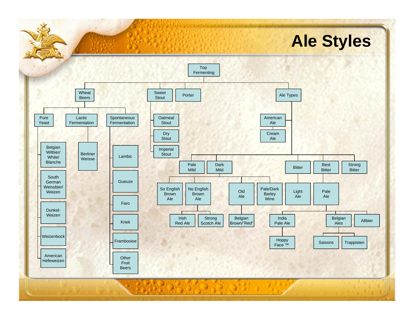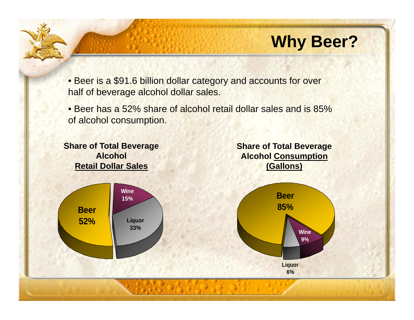# **Why Beer?**

• Beer is a \$91.6 billion dollar category and accounts for over half of beverage alcohol dollar sales.

• Beer has a 52% share of alcohol retail dollar sales and is 85% of alcohol consumption.

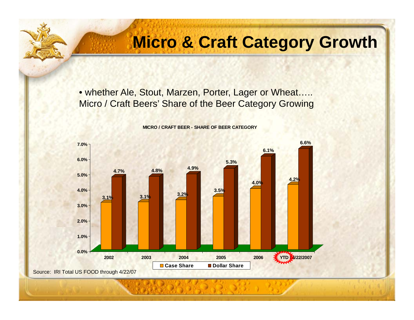## **Micro & Craft Category Growth**

• whether Ale, Stout, Marzen, Porter, Lager or Wheat….. Micro / Craft Beers' Share of the Beer Category Growing



**MICRO / CRAFT BEER - SHARE OF BEER CATEGORY**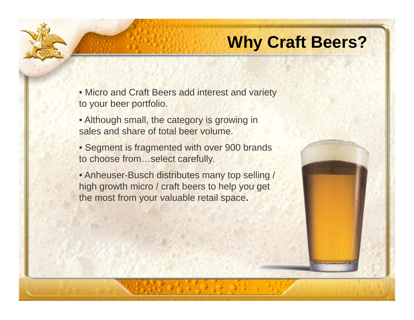## **Why Craft Beers?**

• Micro and Craft Beers add interest and variety to your beer portfolio.

- Although small, the category is growing in sales and share of total beer volume.
- Segment is fragmented with over 900 brands to choose from…select carefully.
- Anheuser-Busch distributes many top selling / high growth micro / craft beers to help you get the most from your valuable retail space**.**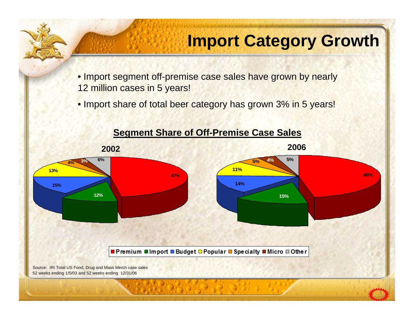# **Import Category Growth**

• Import segment off-premise case sales have grown by nearly 12 million cases in 5 years!

• Import share of total beer category has grown 3% in 5 years!

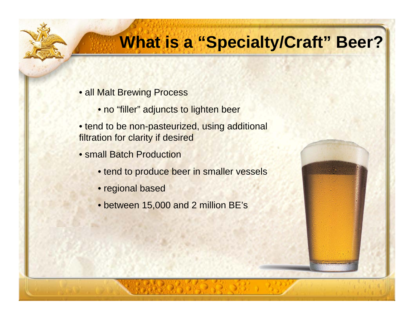# **What is a "Specialty/Craft" Beer?**

- all Malt Brewing Process
	- no "filler" adjuncts to lighten beer
- tend to be non-pasteurized, using additional filtration for clarity if desired
- small Batch Production
	- tend to produce beer in smaller vessels
	- regional based
	- between 15,000 and 2 million BE's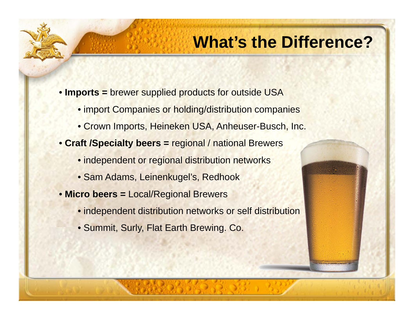#### **What's the Difference?**

- **Imports <sup>=</sup>** brewer supplied products for outside USA
	- import Companies or holding/distribution companies
	- Crown Imports, Heineken USA, Anheuser-Busch, Inc.
- **Craft /Specialty beers <sup>=</sup>** regional / national Brewers
	- independent or regional distribution networks
	- Sam Adams, Leinenkugel's, Redhook
- **Micro beers <sup>=</sup>** Local/Regional Brewers
	- independent distribution networks or self distribution
	- Summit, Surly, Flat Earth Brewing. Co.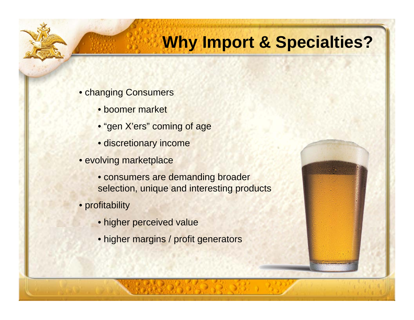## **Why Import & Specialties?**

- changing Consumers
	- boomer market
	- "gen X'ers" coming of age
	- discretionary income
- evolving marketplace
	- consumers are demanding broader selection, unique and interesting products
- profitability
	- higher perceived value
	- higher margins / profit generators

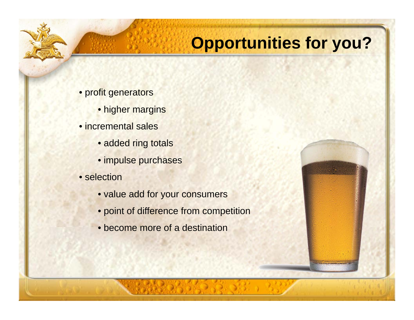# **Opportunities for you?**

- profit generators
	- higher margins
- incremental sales
	- added ring totals
	- impulse purchases
- selection
	- value add for your consumers
	- point of difference from competition
	- become more of a destination

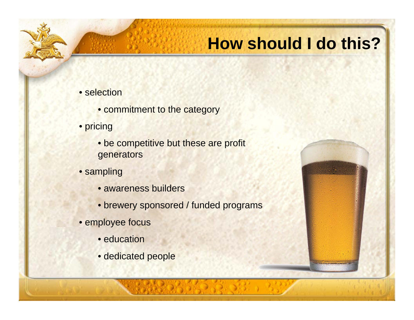## **How should I do this?**

- selection
	- commitment to the category
- pricing
	- be competitive but these are profit generators
- sampling
	- awareness builders
	- brewery sponsored / funded programs
- employee focus
	- education
	- dedicated people

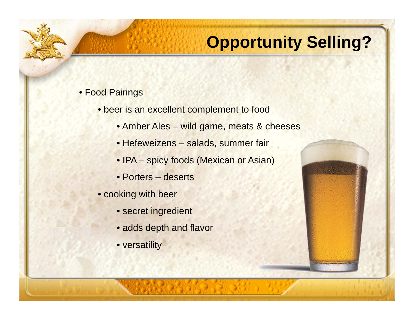# **Opportunity Selling?**

#### • Food Pairings

- beer is an excellent complement to food
	- Amber Ales wild game, meats & cheeses
	- Hefeweizens salads, summer fair
	- IPA spicy foods (Mexican or Asian)
	- Porters deserts
- cooking with beer
	- secret ingredient
	- adds depth and flavor
	- versatility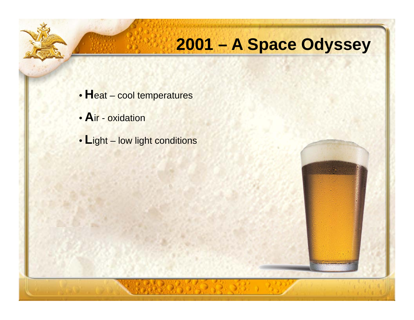# **2001 – A Space Odyssey**

- **H**eat cool temperatures
- **A**ir oxidation
- **L**ight low light conditions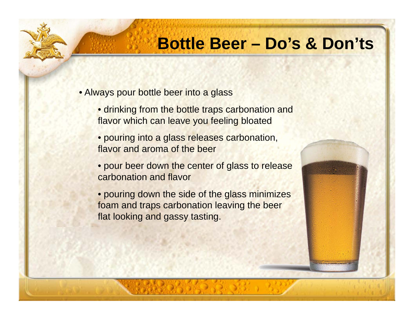#### **Bottle Beer – Do's & Don'ts**

• Always pour bottle beer into a glass

- drinking from the bottle traps carbonation and flavor which can leave you feeling bloated
- pouring into a glass releases carbonation, flavor and aroma of the beer
- pour beer down the center of glass to release carbonation and flavor
- pouring down the side of the glass minimizes foam and traps carbonation leaving the beer flat looking and gassy tasting.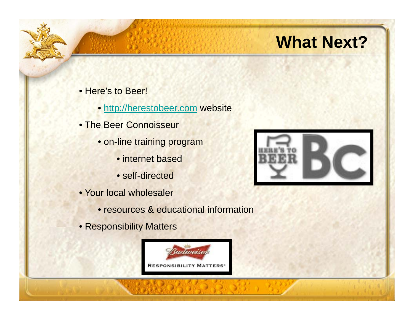# **What Next?**

- Here's to Beer!
	- http://herestobeer.com website
- The Beer Connoisseur
	- on-line training program
		- internet based
		- self-directed
- Your local wholesaler
	- resources & educational information
- Responsibility Matters